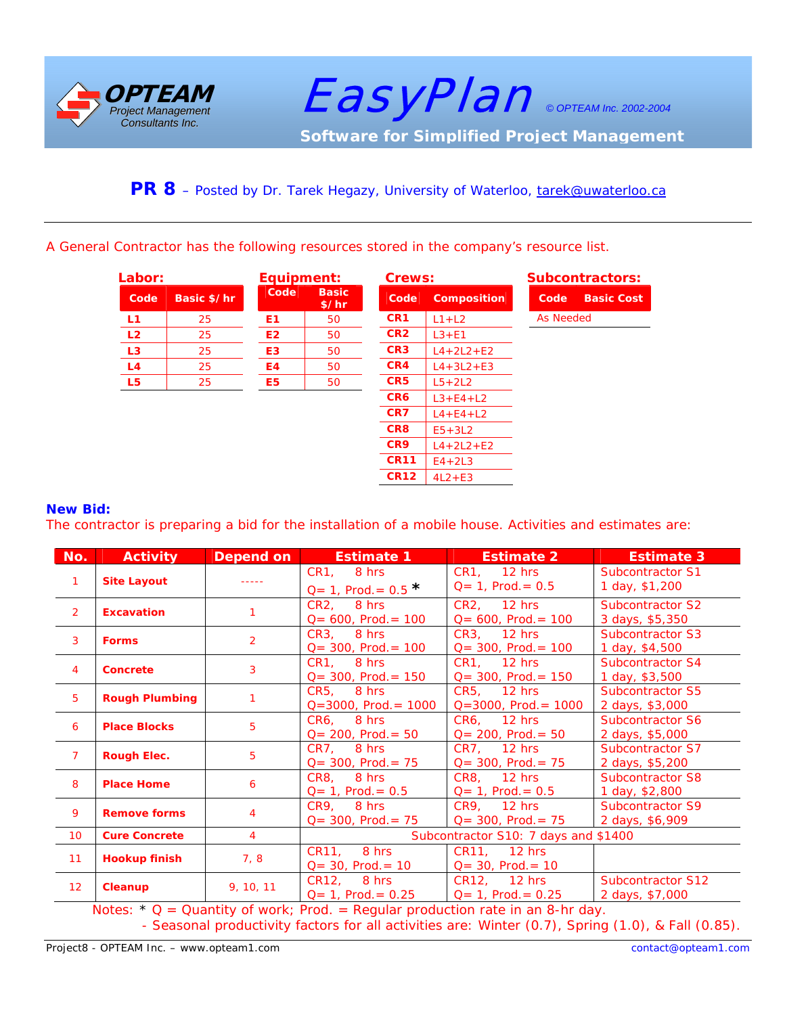

 EasyPlan *© OPTEAM Inc. 2002-2004*  **Software for Simplified Project Management** 

## PR 8 - Posted by Dr. Tarek Hegazy, University of Waterloo, tarek@uwaterloo.ca

A General Contractor has the following resources stored in the company's resource list.

|                | Labor:      |                | Equipment:            |                 | Crews:             |                  | <b>Subcontractors:</b> |  |
|----------------|-------------|----------------|-----------------------|-----------------|--------------------|------------------|------------------------|--|
| Code           | Basic \$/hr | Code           | <b>Basic</b><br>\$/hr | Code            | <b>Composition</b> | Code             | <b>Basic Cost</b>      |  |
| L <sub>1</sub> | 25          | E1             | 50                    | CR <sub>1</sub> | $L1+L2$            | <b>As Needed</b> |                        |  |
| L <sub>2</sub> | 25          | E <sub>2</sub> | 50                    | CR <sub>2</sub> | $L3 + E1$          |                  |                        |  |
| L <sub>3</sub> | 25          | E3             | 50                    | CR <sub>3</sub> | $L4 + 2L2 + E2$    |                  |                        |  |
| L4             | 25          | E4             | 50                    | CR4             | $L4 + 3L2 + E3$    |                  |                        |  |
| L <sub>5</sub> | 25          | E5             | 50                    | CR5             | $L5+2L2$           |                  |                        |  |
|                |             |                |                       | CR6             | $L3 + E4 + L2$     |                  |                        |  |
|                |             |                |                       | CR7             | $L4 + E4 + L2$     |                  |                        |  |
|                |             |                |                       | CR8             | $E5+3L2$           |                  |                        |  |
|                |             |                |                       | CR <sub>9</sub> | $L4 + 2L2 + E2$    |                  |                        |  |
|                |             |                |                       | <b>CR11</b>     | $E4+2L3$           |                  |                        |  |
|                |             |                |                       | <b>CR12</b>     | $4L2+E3$           |                  |                        |  |

## **New Bid:**

The contractor is preparing a bid for the installation of a mobile house. Activities and estimates are:

| No.             | <b>Activity</b>                                                            | Depend on      | <b>Estimate 1</b>                          | <b>Estimate 2</b>                        | <b>Estimate 3</b>                           |  |  |  |
|-----------------|----------------------------------------------------------------------------|----------------|--------------------------------------------|------------------------------------------|---------------------------------------------|--|--|--|
| $\mathbf{1}$    | <b>Site Layout</b>                                                         |                | CR1, 8 hrs<br>$Q = 1$ , Prod. = 0.5 $*$    | CR1, 12 hrs<br>$Q = 1$ , Prod. = 0.5     | <b>Subcontractor S1</b><br>1 day, \$1,200   |  |  |  |
| $\overline{2}$  | <b>Excavation</b>                                                          |                | CR2, 8 hrs<br>$Q = 600$ , Prod. = 100      | CR2, 12 hrs<br>$Q = 600$ , Prod. = 100   | Subcontractor S2<br>3 days, \$5,350         |  |  |  |
| $\overline{3}$  | <b>Forms</b>                                                               | $\overline{2}$ | CR3, 8 hrs<br>$Q = 300$ , Prod. = 100      | CR3, 12 hrs<br>$Q = 300$ , Prod. = 100   | Subcontractor S3<br>1 day, \$4,500          |  |  |  |
| $\overline{4}$  | <b>Concrete</b>                                                            | 3              | CR1. 8 hrs<br>$Q = 300$ , Prod. = 150      | CR1. 12 hrs<br>$Q = 300$ , Prod. = 150   | Subcontractor S4<br>1 day, \$3,500          |  |  |  |
| 5 <sup>5</sup>  | <b>Rough Plumbing</b>                                                      |                | CR5. 8 hrs<br>$Q = 3000$ , Prod. = 1000    | CR5. 12 hrs<br>$Q = 3000$ , Prod. = 1000 | Subcontractor S5<br>2 days, \$3,000         |  |  |  |
| 6               | <b>Place Blocks</b>                                                        | 5              | $CR6.$ 8 hrs<br>$Q = 200$ , Prod. = 50     | CR6, 12 hrs<br>$Q = 200$ , Prod. = 50    | Subcontractor S6<br>2 days, \$5,000         |  |  |  |
| $\overline{7}$  | <b>Rough Elec.</b>                                                         | 5              | CR7, 8 hrs<br>$Q = 300$ , Prod. = 75       | CR7, 12 hrs<br>$Q = 300$ , Prod. = 75    | Subcontractor S7<br>2 days, \$5,200         |  |  |  |
| 8               | <b>Place Home</b>                                                          | 6              | CR8, 8 hrs<br>$Q = 1$ , Prod. = 0.5        | CR8, 12 hrs<br>$Q = 1$ , Prod. = 0.5     | <b>Subcontractor S8</b><br>1 day, \$2,800   |  |  |  |
| 9               | <b>Remove forms</b>                                                        | $\overline{4}$ | CR9, 8 hrs<br>$Q = 300$ , Prod. = 75       | CR9, 12 hrs<br>$Q = 300$ , Prod. = 75    | <b>Subcontractor S9</b><br>2 days, \$6,909  |  |  |  |
| 10 <sup>°</sup> | <b>Cure Concrete</b>                                                       | $\overline{4}$ | Subcontractor S10: 7 days and \$1400       |                                          |                                             |  |  |  |
| 11              | <b>Hookup finish</b>                                                       | 7, 8           | CR11, 8 hrs<br>$Q = 30$ , Prod. = 10       | CR11, 12 hrs<br>$Q = 30$ , Prod. = 10    |                                             |  |  |  |
| 12 <sub>2</sub> | Cleanup<br>$\mathbf{r}$ and $\mathbf{r}$ and $\mathbf{r}$ and $\mathbf{r}$ | 9, 10, 11      | CR12, 8 hrs<br>$Q = 1$ , Prod. = 0.25<br>. | CR12, 12 hrs<br>$Q = 1$ , Prod. = 0.25   | <b>Subcontractor S12</b><br>2 days, \$7,000 |  |  |  |

Notes:  $* Q =$  Quantity of work; Prod. = Regular production rate in an 8-hr day. - Seasonal productivity factors for all activities are: Winter (0.7), Spring (1.0), & Fall (0.85).